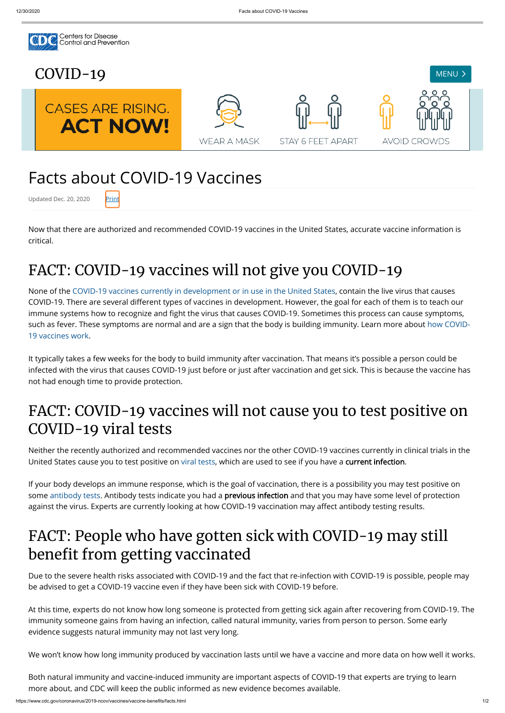

# Facts about COVID-19 Vaccines

Updated Dec. 20, 2020 Print

Now that there are authorized and recommended COVID-19 vaccines in the United States, accurate vaccine information is critical.

## FACT: COVID-19 vaccines will not give you COVID-19

None of the [COVID-19 vaccines currently in development or in use in the United States,](https://www.cdc.gov/coronavirus/2019-ncov/vaccines/different-vaccines.html) contain the live virus that causes COVID-19. There are several different types of vaccines in development. However, the goal for each of them is to teach our immune systems how to recognize and fight the virus that causes COVID-19. Sometimes this process can cause symptoms, [such as fever. These symptoms are normal and are a sign that the body is building immunity. Learn more about how COVID-](https://www.cdc.gov/coronavirus/2019-ncov/vaccines/about-vaccines/how-they-work.html)19 vaccines work.

If your body develops an immune response, which is the goal of vaccination, there is a possibility you may test positive on some [antibody tests](https://www.cdc.gov/coronavirus/2019-ncov/testing/serology-overview.html). Antibody tests indicate you had a **previous infection** and that you may have some level of protection against the virus. Experts are currently looking at how COVID-19 vaccination may affect antibody testing results.

#### FACT: People who have gotten sick with COVID-19 may still benefit from getting vaccinated

It typically takes a few weeks for the body to build immunity after vaccination. That means it's possible a person could be infected with the virus that causes COVID-19 just before or just after vaccination and get sick. This is because the vaccine has not had enough time to provide protection.

#### FACT: COVID-19 vaccines will not cause you to test positive on COVID-19 viral tests

Neither the recently authorized and recommended vaccines nor the other COVID-19 vaccines currently in clinical trials in the United States cause you to test positive on [viral tests](https://www.cdc.gov/coronavirus/2019-ncov/testing/diagnostic-testing.html), which are used to see if you have a current infection.

Due to the severe health risks associated with COVID-19 and the fact that re-infection with COVID-19 is possible, people may be advised to get a COVID-19 vaccine even if they have been sick with COVID-19 before.

At this time, experts do not know how long someone is protected from getting sick again after recovering from COVID-19. The immunity someone gains from having an infection, called natural immunity, varies from person to person. Some early evidence suggests natural immunity may not last very long.

We won't know how long immunity produced by vaccination lasts until we have a vaccine and more data on how well it works.

Both natural immunity and vaccine-induced immunity are important aspects of COVID-19 that experts are trying to learn more about, and CDC will keep the public informed as new evidence becomes available.